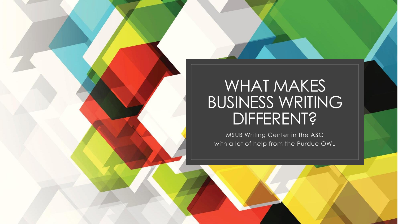## WHAT MAKES BUSINESS WRITING DIFFERENT?

MSUB Writing Center in the ASC with a lot of help from the Purdue OWL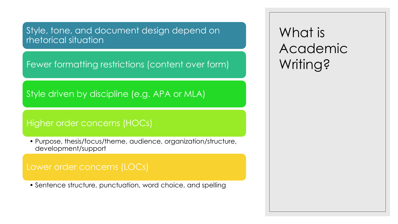Style, tone, and document design depend on rhetorical situation

Fewer formatting restrictions (content over form)

Style driven by discipline (e.g. APA or MLA)

### Higher order concerns (HOCs)

• Purpose, thesis/focus/theme, audience, organization/structure, development/support

### Lower order concerns (LOCs)

• Sentence structure, punctuation, word choice, and spelling

What is Academic Writing?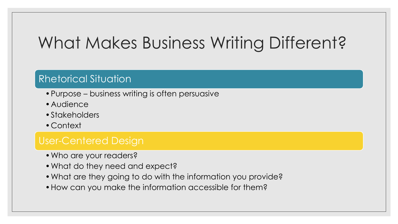# What Makes Business Writing Different?

### Rhetorical Situation

- •Purpose business writing is often persuasive
- •Audience
- •Stakeholders
- •Context

### User-Centered Design

- •Who are your readers?
- •What do they need and expect?
- •What are they going to do with the information you provide?
- •How can you make the information accessible for them?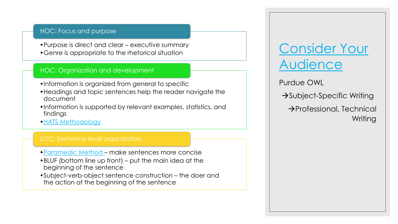#### HOC: Focus and purpose

•Purpose is direct and clear – executive summary •Genre is appropriate to the rhetorical situation

#### HOC: Organization and development

- •Information is organized from general to specific
- •Headings and topic sentences help the reader navigate the document
- •Information is supported by relevant examples, statistics, and findings
- •[HATS Methodology](https://owl.purdue.edu/owl/subject_specific_writing/professional_technical_writing/hats.html)

- •[Paramedic Method](https://owl.purdue.edu/owl/general_writing/academic_writing/paramedic_method.html)  make sentences more concise
- •BLUF (bottom line up front) put the main idea at the beginning of the sentence
- •Subject-verb-object sentence construction the doer and the action at the beginning of the sentence

### [Consider Your](https://owl.purdue.edu/owl/subject_specific_writing/professional_technical_writing/effective_workplace_writing/applying_user_centered_design.html)  Audience

Purdue OWL

→Subject-Specific Writing

→Professional, Technical Writing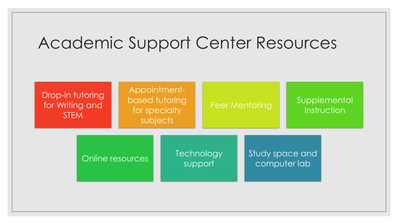# Academic Support Center Resources